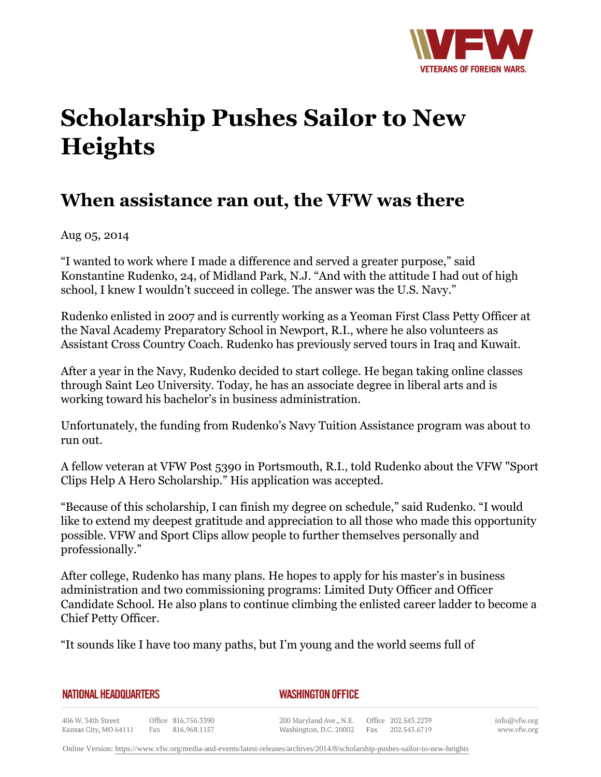

## **Scholarship Pushes Sailor to New Heights**

## **When assistance ran out, the VFW was there**

Aug 05, 2014

"I wanted to work where I made a difference and served a greater purpose," said Konstantine Rudenko, 24, of Midland Park, N.J. "And with the attitude I had out of high school, I knew I wouldn't succeed in college. The answer was the U.S. Navy."

Rudenko enlisted in 2007 and is currently working as a Yeoman First Class Petty Officer at the Naval Academy Preparatory School in Newport, R.I., where he also volunteers as Assistant Cross Country Coach. Rudenko has previously served tours in Iraq and Kuwait.

After a year in the Navy, Rudenko decided to start college. He began taking online classes through Saint Leo University. Today, he has an associate degree in liberal arts and is working toward his bachelor's in business administration.

Unfortunately, the funding from Rudenko's Navy Tuition Assistance program was about to run out.

A fellow veteran at VFW Post 5390 in Portsmouth, R.I., told Rudenko about the VFW "Sport Clips Help A Hero Scholarship." His application was accepted.

"Because of this scholarship, I can finish my degree on schedule," said Rudenko. "I would like to extend my deepest gratitude and appreciation to all those who made this opportunity possible. VFW and Sport Clips allow people to further themselves personally and professionally."

After college, Rudenko has many plans. He hopes to apply for his master's in business administration and two commissioning programs: Limited Duty Officer and Officer Candidate School. He also plans to continue climbing the enlisted career ladder to become a Chief Petty Officer.

"It sounds like I have too many paths, but I'm young and the world seems full of

**NATIONAL HEADQUARTERS** 

*WASHINGTON OFFICE* 

406 W. 34th Street Office 816.756.3390 Fax 816.968.1157 Kansas City, MO 64111

200 Maryland Ave., N.E. Office 202.543.2239 Washington, D.C. 20002 Fax 202.543.6719 info@vfw.org www.vfw.org